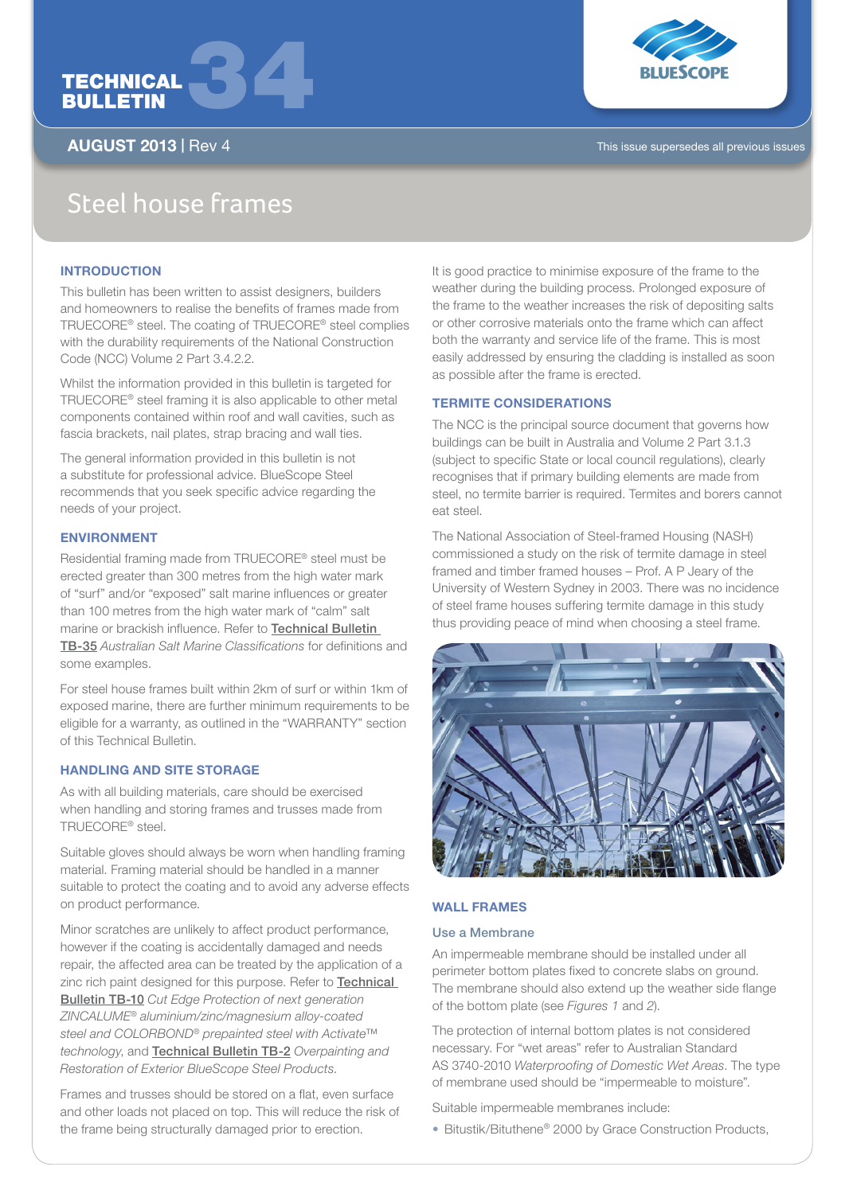



AUGUST 2013 | Rev 4 This issue supersedes all previous issues

# Steel house frames

## **INTRODUCTION**

This bulletin has been written to assist designers, builders and homeowners to realise the benefits of frames made from TRUECORE® steel. The coating of TRUECORE® steel complies with the durability requirements of the National Construction Code (NCC) Volume 2 Part 3.4.2.2.

Whilst the information provided in this bulletin is targeted for TRUECORE® steel framing it is also applicable to other metal components contained within roof and wall cavities, such as fascia brackets, nail plates, strap bracing and wall ties.

The general information provided in this bulletin is not a substitute for professional advice. BlueScope Steel recommends that you seek specific advice regarding the needs of your project.

## ENVIRONMENT

Residential framing made from TRUECORE® steel must be erected greater than 300 metres from the high water mark of "surf" and/or "exposed" salt marine influences or greater than 100 metres from the high water mark of "calm" salt marine or brackish influence. Refer to Technical Bulletin TB-35 *Australian Salt Marine Classifications* for definitions and some examples.

For steel house frames built within 2km of surf or within 1km of exposed marine, there are further minimum requirements to be eligible for a warranty, as outlined in the "WARRANTY" section of this Technical Bulletin.

# HANDLING AND SITE STORAGE

As with all building materials, care should be exercised when handling and storing frames and trusses made from TRUECORE® steel.

Suitable gloves should always be worn when handling framing material. Framing material should be handled in a manner suitable to protect the coating and to avoid any adverse effects on product performance.

Minor scratches are unlikely to affect product performance, however if the coating is accidentally damaged and needs repair, the affected area can be treated by the application of a zinc rich paint designed for this purpose. Refer to **Technical** Bulletin TB-10 *Cut Edge Protection of next generation ZINCALUME® aluminium/zinc/magnesium alloy-coated steel and COLORBOND® prepainted steel with Activate™ technology*, and Technical Bulletin TB-2 *Overpainting and Restoration of Exterior BlueScope Steel Products*.

Frames and trusses should be stored on a flat, even surface and other loads not placed on top. This will reduce the risk of the frame being structurally damaged prior to erection.

It is good practice to minimise exposure of the frame to the weather during the building process. Prolonged exposure of the frame to the weather increases the risk of depositing salts or other corrosive materials onto the frame which can affect both the warranty and service life of the frame. This is most easily addressed by ensuring the cladding is installed as soon as possible after the frame is erected.

## TERMITE CONSIDERATIONS

The NCC is the principal source document that governs how buildings can be built in Australia and Volume 2 Part 3.1.3 (subject to specific State or local council regulations), clearly recognises that if primary building elements are made from steel, no termite barrier is required. Termites and borers cannot eat steel.

The National Association of Steel-framed Housing (NASH) commissioned a study on the risk of termite damage in steel framed and timber framed houses – Prof. A P Jeary of the University of Western Sydney in 2003. There was no incidence of steel frame houses suffering termite damage in this study thus providing peace of mind when choosing a steel frame.



## WALL FRAMES

#### Use a Membrane

An impermeable membrane should be installed under all perimeter bottom plates fixed to concrete slabs on ground. The membrane should also extend up the weather side flange of the bottom plate (see *Figures 1* and *2*).

The protection of internal bottom plates is not considered necessary. For "wet areas" refer to Australian Standard AS 3740-2010 *Waterproofing of Domestic Wet Areas*. The type of membrane used should be "impermeable to moisture".

Suitable impermeable membranes include:

• Bitustik/Bituthene® 2000 by Grace Construction Products,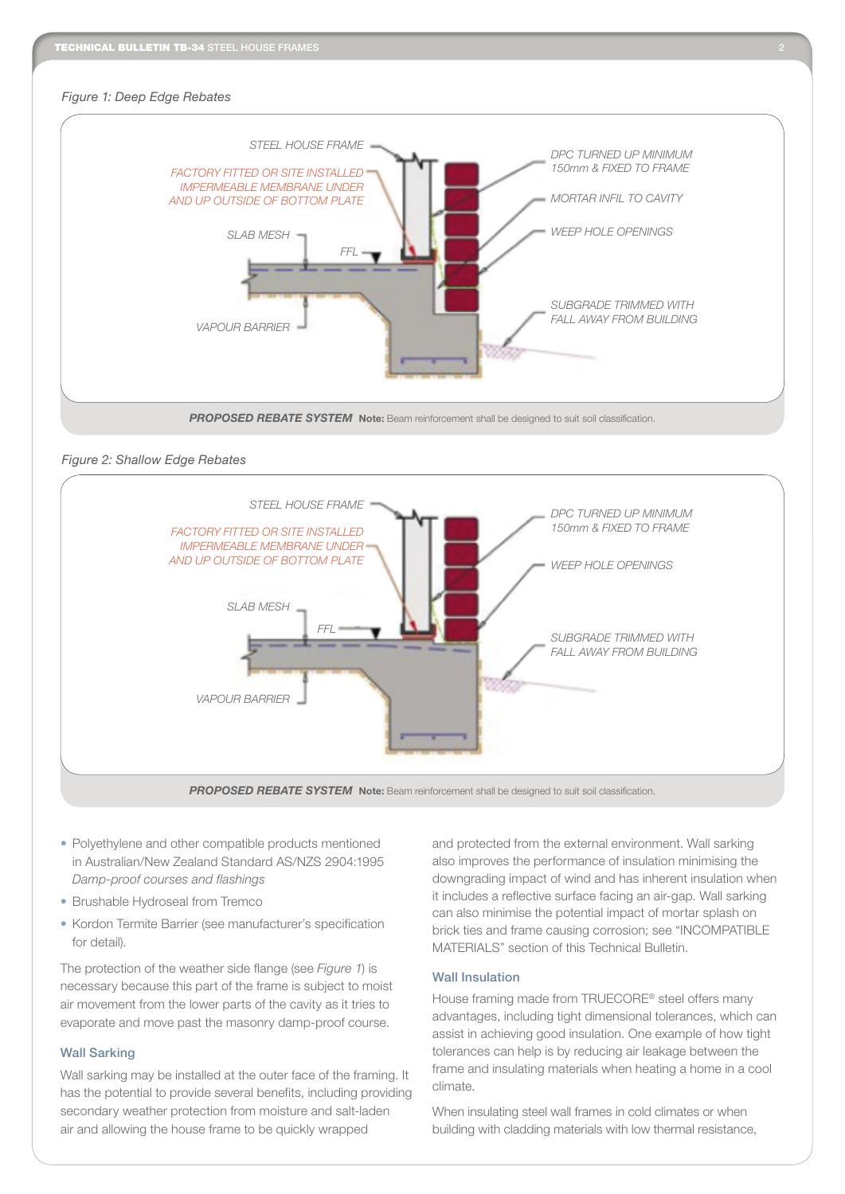#### *Figure 1: Deep Edge Rebates*



## *Figure 2: Shallow Edge Rebates*



**PROPOSED REBATE SYSTEM** Note: Beam reinforcement shall be designed to suit soil classification.

- Polyethylene and other compatible products mentioned in Australian/New Zealand Standard AS/NZS 2904:1995 *Damp-proof courses and flashings*
- Brushable Hydroseal from Tremco
- Kordon Termite Barrier (see manufacturer's specification for detail).

The protection of the weather side flange (see *Figure 1*) is necessary because this part of the frame is subject to moist air movement from the lower parts of the cavity as it tries to evaporate and move past the masonry damp-proof course.

## Wall Sarking

Wall sarking may be installed at the outer face of the framing. It has the potential to provide several benefits, including providing secondary weather protection from moisture and salt-laden air and allowing the house frame to be quickly wrapped

and protected from the external environment. Wall sarking also improves the performance of insulation minimising the downgrading impact of wind and has inherent insulation when it includes a reflective surface facing an air-gap. Wall sarking can also minimise the potential impact of mortar splash on brick ties and frame causing corrosion; see "INCOMPATIBLE MATERIALS" section of this Technical Bulletin.

## Wall Insulation

House framing made from TRUECORE® steel offers many advantages, including tight dimensional tolerances, which can assist in achieving good insulation. One example of how tight tolerances can help is by reducing air leakage between the frame and insulating materials when heating a home in a cool climate.

When insulating steel wall frames in cold climates or when building with cladding materials with low thermal resistance,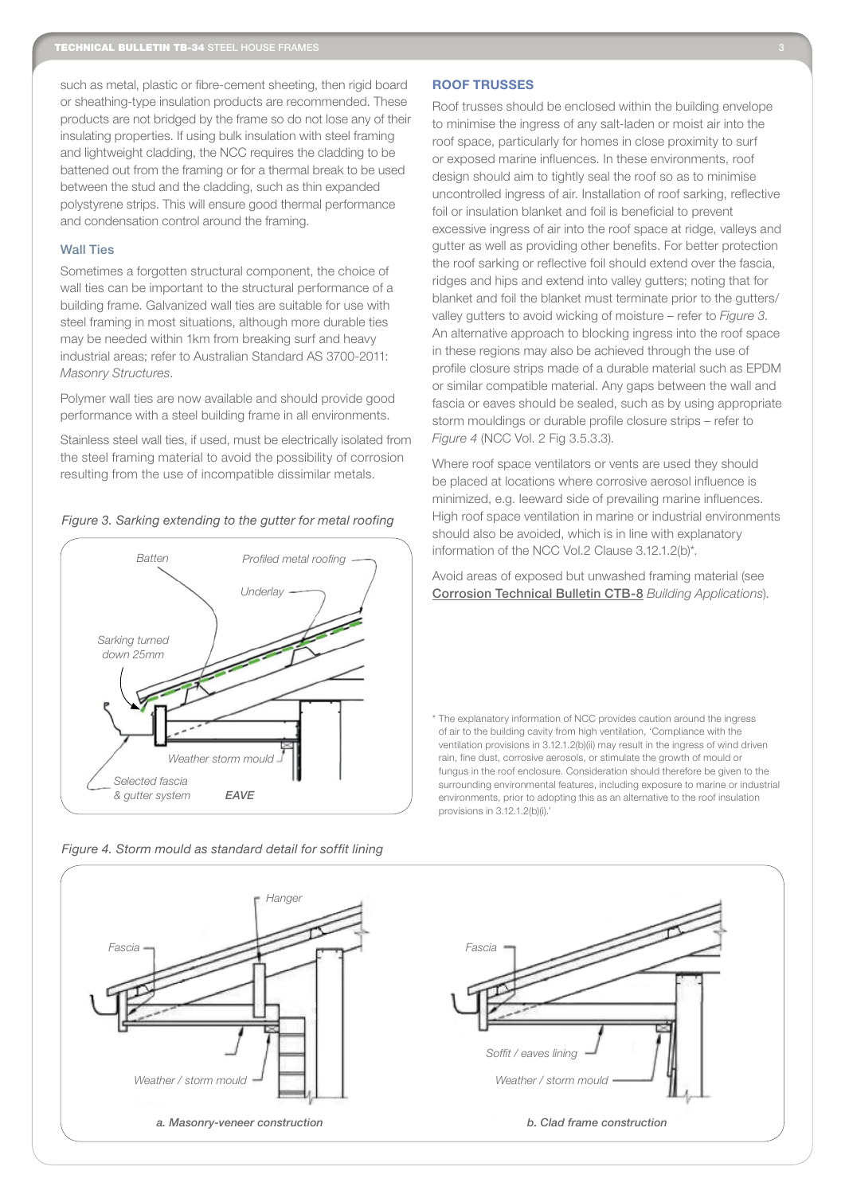such as metal, plastic or fibre-cement sheeting, then rigid board or sheathing-type insulation products are recommended. These products are not bridged by the frame so do not lose any of their insulating properties. If using bulk insulation with steel framing and lightweight cladding, the NCC requires the cladding to be battened out from the framing or for a thermal break to be used between the stud and the cladding, such as thin expanded polystyrene strips. This will ensure good thermal performance and condensation control around the framing.

#### Wall Ties

Sometimes a forgotten structural component, the choice of wall ties can be important to the structural performance of a building frame. Galvanized wall ties are suitable for use with steel framing in most situations, although more durable ties may be needed within 1km from breaking surf and heavy industrial areas; refer to Australian Standard AS 3700-2011: *Masonry Structures*.

Polymer wall ties are now available and should provide good performance with a steel building frame in all environments.

Stainless steel wall ties, if used, must be electrically isolated from the steel framing material to avoid the possibility of corrosion resulting from the use of incompatible dissimilar metals.





*Figure 4. Storm mould as standard detail for soffit lining*

## ROOF TRUSSES

Roof trusses should be enclosed within the building envelope to minimise the ingress of any salt-laden or moist air into the roof space, particularly for homes in close proximity to surf or exposed marine influences. In these environments, roof design should aim to tightly seal the roof so as to minimise uncontrolled ingress of air. Installation of roof sarking, reflective foil or insulation blanket and foil is beneficial to prevent excessive ingress of air into the roof space at ridge, valleys and gutter as well as providing other benefits. For better protection the roof sarking or reflective foil should extend over the fascia, ridges and hips and extend into valley gutters; noting that for blanket and foil the blanket must terminate prior to the gutters/ valley gutters to avoid wicking of moisture – refer to *Figure 3*. An alternative approach to blocking ingress into the roof space in these regions may also be achieved through the use of profile closure strips made of a durable material such as EPDM or similar compatible material. Any gaps between the wall and fascia or eaves should be sealed, such as by using appropriate storm mouldings or durable profile closure strips – refer to *Figure 4* (NCC Vol. 2 Fig 3.5.3.3).

Where roof space ventilators or vents are used they should be placed at locations where corrosive aerosol influence is minimized, e.g. leeward side of prevailing marine influences. High roof space ventilation in marine or industrial environments should also be avoided, which is in line with explanatory information of the NCC Vol.2 Clause 3.12.1.2(b)\*.

Avoid areas of exposed but unwashed framing material (see Corrosion Technical Bulletin CTB-8 *Building Applications*).

\* The explanatory information of NCC provides caution around the ingress of air to the building cavity from high ventilation, 'Compliance with the ventilation provisions in 3.12.1.2(b)(ii) may result in the ingress of wind driven rain, fine dust, corrosive aerosols, or stimulate the growth of mould or fungus in the roof enclosure. Consideration should therefore be given to the surrounding environmental features, including exposure to marine or industrial environments, prior to adopting this as an alternative to the roof insulation provisions in 3.12.1.2(b)(i).'

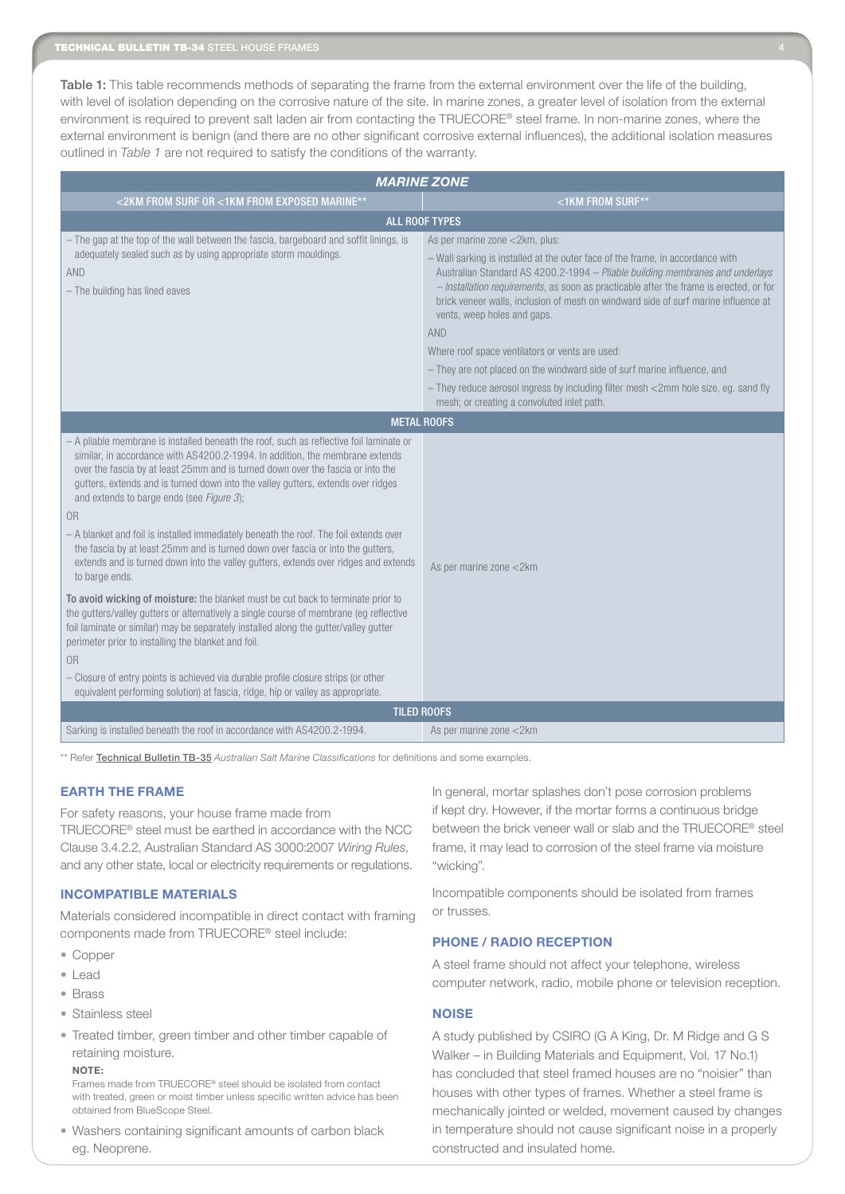Table 1: This table recommends methods of separating the frame from the external environment over the life of the building, with level of isolation depending on the corrosive nature of the site. In marine zones, a greater level of isolation from the external environment is required to prevent salt laden air from contacting the TRUECORE® steel frame. In non-marine zones, where the external environment is benign (and there are no other significant corrosive external influences), the additional isolation measures outlined in *Table 1* are not required to satisfy the conditions of the warranty.

| <b>MARINE ZONE</b>                                                                                                                                                                                                                                                                                                                                                                                                                                                                                                                                                                                                                                                                                                                                                                                                                                                                                                                                                                                                                                                                                                                                                                                                         |                                                                                                                                                                                                                                                                                                                                                                                                                                                                                                                                                                                                                                                                                                    |
|----------------------------------------------------------------------------------------------------------------------------------------------------------------------------------------------------------------------------------------------------------------------------------------------------------------------------------------------------------------------------------------------------------------------------------------------------------------------------------------------------------------------------------------------------------------------------------------------------------------------------------------------------------------------------------------------------------------------------------------------------------------------------------------------------------------------------------------------------------------------------------------------------------------------------------------------------------------------------------------------------------------------------------------------------------------------------------------------------------------------------------------------------------------------------------------------------------------------------|----------------------------------------------------------------------------------------------------------------------------------------------------------------------------------------------------------------------------------------------------------------------------------------------------------------------------------------------------------------------------------------------------------------------------------------------------------------------------------------------------------------------------------------------------------------------------------------------------------------------------------------------------------------------------------------------------|
| <2KM FROM SURF OR <1KM FROM EXPOSED MARINE**                                                                                                                                                                                                                                                                                                                                                                                                                                                                                                                                                                                                                                                                                                                                                                                                                                                                                                                                                                                                                                                                                                                                                                               | <1KM FROM SURF**                                                                                                                                                                                                                                                                                                                                                                                                                                                                                                                                                                                                                                                                                   |
| <b>ALL ROOF TYPES</b>                                                                                                                                                                                                                                                                                                                                                                                                                                                                                                                                                                                                                                                                                                                                                                                                                                                                                                                                                                                                                                                                                                                                                                                                      |                                                                                                                                                                                                                                                                                                                                                                                                                                                                                                                                                                                                                                                                                                    |
| - The gap at the top of the wall between the fascia, bargeboard and soffit linings, is<br>adequately sealed such as by using appropriate storm mouldings.<br>AND<br>- The building has lined eaves                                                                                                                                                                                                                                                                                                                                                                                                                                                                                                                                                                                                                                                                                                                                                                                                                                                                                                                                                                                                                         | As per marine zone <2km, plus:<br>- Wall sarking is installed at the outer face of the frame, in accordance with<br>Australian Standard AS 4200.2-1994 - Pliable building membranes and underlays<br>- Installation requirements, as soon as practicable after the frame is erected, or for<br>brick veneer walls, inclusion of mesh on windward side of surf marine influence at<br>vents, weep holes and gaps.<br><b>AND</b><br>Where roof space ventilators or vents are used:<br>- They are not placed on the windward side of surf marine influence, and<br>- They reduce aerosol ingress by including filter mesh <2mm hole size, eg. sand fly<br>mesh; or creating a convoluted inlet path. |
| <b>METAL ROOFS</b>                                                                                                                                                                                                                                                                                                                                                                                                                                                                                                                                                                                                                                                                                                                                                                                                                                                                                                                                                                                                                                                                                                                                                                                                         |                                                                                                                                                                                                                                                                                                                                                                                                                                                                                                                                                                                                                                                                                                    |
| - A pliable membrane is installed beneath the roof, such as reflective foil laminate or<br>similar, in accordance with AS4200.2-1994. In addition, the membrane extends<br>over the fascia by at least 25mm and is turned down over the fascia or into the<br>gutters, extends and is turned down into the valley gutters, extends over ridges<br>and extends to barge ends (see Figure 3);<br>0 <sub>R</sub><br>- A blanket and foil is installed immediately beneath the roof. The foil extends over<br>the fascia by at least 25mm and is turned down over fascia or into the gutters,<br>extends and is turned down into the valley gutters, extends over ridges and extends<br>to barge ends.<br>To avoid wicking of moisture: the blanket must be cut back to terminate prior to<br>the gutters/valley gutters or alternatively a single course of membrane (eg reflective<br>foil laminate or similar) may be separately installed along the gutter/valley gutter<br>perimeter prior to installing the blanket and foil.<br>0 <sub>R</sub><br>- Closure of entry points is achieved via durable profile closure strips (or other<br>equivalent performing solution) at fascia, ridge, hip or valley as appropriate. | As per marine zone <2km                                                                                                                                                                                                                                                                                                                                                                                                                                                                                                                                                                                                                                                                            |
| <b>TILED ROOFS</b>                                                                                                                                                                                                                                                                                                                                                                                                                                                                                                                                                                                                                                                                                                                                                                                                                                                                                                                                                                                                                                                                                                                                                                                                         |                                                                                                                                                                                                                                                                                                                                                                                                                                                                                                                                                                                                                                                                                                    |
| Sarking is installed beneath the roof in accordance with AS4200.2-1994.                                                                                                                                                                                                                                                                                                                                                                                                                                                                                                                                                                                                                                                                                                                                                                                                                                                                                                                                                                                                                                                                                                                                                    | As per marine zone <2km                                                                                                                                                                                                                                                                                                                                                                                                                                                                                                                                                                                                                                                                            |

\*\* Refer Technical Bulletin TB-35 *Australian Salt Marine Classifications* for definitions and some examples.

## **EARTH THE FRAME**

For safety reasons, your house frame made from TRUECORE® steel must be earthed in accordance with the NCC Clause 3.4.2.2, Australian Standard AS 3000:2007 *Wiring Rules*, and any other state, local or electricity requirements or regulations.

#### **INCOMPATIBLE MATERIALS**

Materials considered incompatible in direct contact with framing components made from TRUECORE® steel include:

- Copper
- • Lead
- • Brass
- Stainless steel
- Treated timber, green timber and other timber capable of retaining moisture.

#### NOTE:

Frames made from TRUECORE® steel should be isolated from contact with treated, green or moist timber unless specific written advice has been obtained from BlueScope Steel.

• Washers containing significant amounts of carbon black eg. Neoprene.

In general, mortar splashes don't pose corrosion problems if kept dry. However, if the mortar forms a continuous bridge between the brick veneer wall or slab and the TRUECORE® steel frame, it may lead to corrosion of the steel frame via moisture "wicking".

Incompatible components should be isolated from frames or trusses.

# PHONE / RADIO RECEPTION

A steel frame should not affect your telephone, wireless computer network, radio, mobile phone or television reception.

#### **NOISE**

A study published by CSIRO (G A King, Dr. M Ridge and G S Walker – in Building Materials and Equipment, Vol. 17 No.1) has concluded that steel framed houses are no "noisier" than houses with other types of frames. Whether a steel frame is mechanically jointed or welded, movement caused by changes in temperature should not cause significant noise in a properly constructed and insulated home.